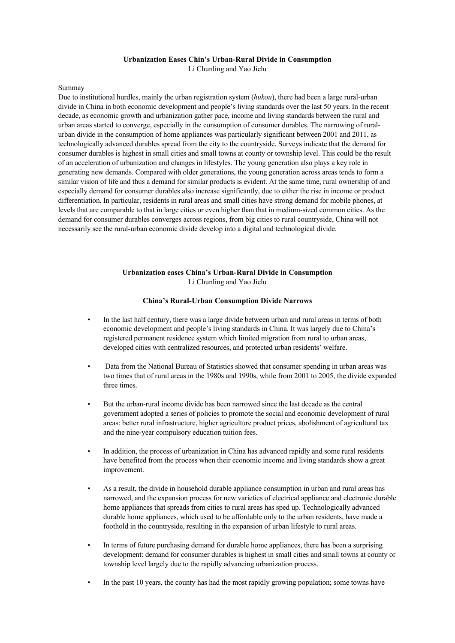### **Urbanization Eases Chin's Urban-Rural Divide in Consumption**

Li Chunling and Yao Jielu

#### Summay

Due to institutional hurdles, mainly the urban registration system (*hukou*), there had been a large rural-urban divide in China in both economic development and people's living standards over the last 50 years. In the recent decade, as economic growth and urbanization gather pace, income and living standards between the rural and urban areas started to converge, especially in the consumption of consumer durables. The narrowing of ruralurban divide in the consumption of home appliances was particularly significant between 2001 and 2011, as technologically advanced durables spread from the city to the countryside. Surveys indicate that the demand for consumer durables is highest in small cities and small towns at county or township level. This could be the result of an acceleration of urbanization and changes in lifestyles. The young generation also plays a key role in generating new demands. Compared with older generations, the young generation across areas tends to form a similar vision of life and thus a demand for similar products is evident. At the same time, rural ownership of and especially demand for consumer durables also increase significantly, due to either the rise in income or product differentiation. In particular, residents in rural areas and small cities have strong demand for mobile phones, at levels that are comparable to that in large cities or even higher than that in medium-sized common cities. As the demand for consumer durables converges across regions, from big cities to rural countryside, China will not necessarily see the rural-urban economic divide develop into a digital and technological divide.

# **Urbanization eases China's Urban-Rural Divide in Consumption** Li Chunling and Yao Jielu

### **China's Rural-Urban Consumption Divide Narrows**

- In the last half century, there was a large divide between urban and rural areas in terms of both economic development and people's living standards in China. It was largely due to China's registered permanent residence system which limited migration from rural to urban areas, developed cities with centralized resources, and protected urban residents' welfare.
- Data from the National Bureau of Statistics showed that consumer spending in urban areas was two times that of rural areas in the 1980s and 1990s, while from 2001 to 2005, the divide expanded three times.
- But the urban-rural income divide has been narrowed since the last decade as the central government adopted a series of policies to promote the social and economic development of rural areas: better rural infrastructure, higher agriculture product prices, abolishment of agricultural tax and the nine-year compulsory education tuition fees.
- In addition, the process of urbanization in China has advanced rapidly and some rural residents have benefited from the process when their economic income and living standards show a great improvement.
- As a result, the divide in household durable appliance consumption in urban and rural areas has narrowed, and the expansion process for new varieties of electrical appliance and electronic durable home appliances that spreads from cities to rural areas has sped up. Technologically advanced durable home appliances, which used to be affordable only to the urban residents, have made a foothold in the countryside, resulting in the expansion of urban lifestyle to rural areas.
- In terms of future purchasing demand for durable home appliances, there has been a surprising development: demand for consumer durables is highest in small cities and small towns at county or township level largely due to the rapidly advancing urbanization process.
- In the past 10 years, the county has had the most rapidly growing population; some towns have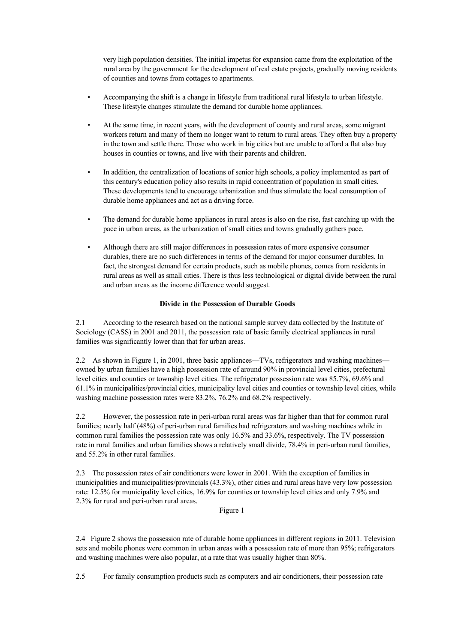very high population densities. The initial impetus for expansion came from the exploitation of the rural area by the government for the development of real estate projects, gradually moving residents of counties and towns from cottages to apartments.

- Accompanying the shift is a change in lifestyle from traditional rural lifestyle to urban lifestyle. These lifestyle changes stimulate the demand for durable home appliances.
- At the same time, in recent years, with the development of county and rural areas, some migrant workers return and many of them no longer want to return to rural areas. They often buy a property in the town and settle there. Those who work in big cities but are unable to afford a flat also buy houses in counties or towns, and live with their parents and children.
- In addition, the centralization of locations of senior high schools, a policy implemented as part of this century's education policy also results in rapid concentration of population in small cities. These developments tend to encourage urbanization and thus stimulate the local consumption of durable home appliances and act as a driving force.
- The demand for durable home appliances in rural areas is also on the rise, fast catching up with the pace in urban areas, as the urbanization of small cities and towns gradually gathers pace.
- Although there are still major differences in possession rates of more expensive consumer durables, there are no such differences in terms of the demand for major consumer durables. In fact, the strongest demand for certain products, such as mobile phones, comes from residents in rural areas as well as small cities. There is thus less technological or digital divide between the rural and urban areas as the income difference would suggest.

## **Divide in the Possession of Durable Goods**

2.1 According to the research based on the national sample survey data collected by the Institute of Sociology (CASS) in 2001 and 2011, the possession rate of basic family electrical appliances in rural families was significantly lower than that for urban areas.

2.2 As shown in Figure 1, in 2001, three basic appliances—TVs, refrigerators and washing machines owned by urban families have a high possession rate of around 90% in provincial level cities, prefectural level cities and counties or township level cities. The refrigerator possession rate was 85.7%, 69.6% and 61.1% in municipalities/provincial cities, municipality level cities and counties or township level cities, while washing machine possession rates were 83.2%, 76.2% and 68.2% respectively.

2.2 However, the possession rate in peri-urban rural areas was far higher than that for common rural families; nearly half (48%) of peri-urban rural families had refrigerators and washing machines while in common rural families the possession rate was only 16.5% and 33.6%, respectively. The TV possession rate in rural families and urban families shows a relatively small divide, 78.4% in peri-urban rural families, and 55.2% in other rural families.

2.3 The possession rates of air conditioners were lower in 2001. With the exception of families in municipalities and municipalities/provincials (43.3%), other cities and rural areas have very low possession rate: 12.5% for municipality level cities, 16.9% for counties or township level cities and only 7.9% and 2.3% for rural and peri-urban rural areas.

Figure 1

2.4 Figure 2 shows the possession rate of durable home appliances in different regions in 2011. Television sets and mobile phones were common in urban areas with a possession rate of more than 95%; refrigerators and washing machines were also popular, at a rate that was usually higher than 80%.

2.5 For family consumption products such as computers and air conditioners, their possession rate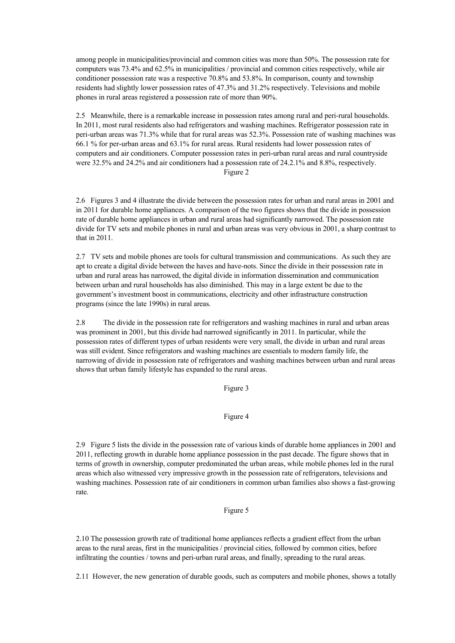among people in municipalities/provincial and common cities was more than 50%. The possession rate for computers was 73.4% and 62.5% in municipalities / provincial and common cities respectively, while air conditioner possession rate was a respective 70.8% and 53.8%. In comparison, county and township residents had slightly lower possession rates of 47.3% and 31.2% respectively. Televisions and mobile phones in rural areas registered a possession rate of more than 90%.

2.5 Meanwhile, there is a remarkable increase in possession rates among rural and peri-rural households. In 2011, most rural residents also had refrigerators and washing machines. Refrigerator possession rate in peri-urban areas was 71.3% while that for rural areas was 52.3%. Possession rate of washing machines was 66.1 % for per-urban areas and 63.1% for rural areas. Rural residents had lower possession rates of computers and air conditioners. Computer possession rates in peri-urban rural areas and rural countryside were 32.5% and 24.2% and air conditioners had a possession rate of 24.2.1% and 8.8%, respectively. Figure 2

2.6 Figures 3 and 4 illustrate the divide between the possession rates for urban and rural areas in 2001 and in 2011 for durable home appliances. A comparison of the two figures shows that the divide in possession rate of durable home appliances in urban and rural areas had significantly narrowed. The possession rate divide for TV sets and mobile phones in rural and urban areas was very obvious in 2001, a sharp contrast to that in 2011.

2.7 TV sets and mobile phones are tools for cultural transmission and communications. As such they are apt to create a digital divide between the haves and have-nots. Since the divide in their possession rate in urban and rural areas has narrowed, the digital divide in information dissemination and communication between urban and rural households has also diminished. This may in a large extent be due to the government's investment boost in communications, electricity and other infrastructure construction programs (since the late 1990s) in rural areas.

2.8 The divide in the possession rate for refrigerators and washing machines in rural and urban areas was prominent in 2001, but this divide had narrowed significantly in 2011. In particular, while the possession rates of different types of urban residents were very small, the divide in urban and rural areas was still evident. Since refrigerators and washing machines are essentials to modern family life, the narrowing of divide in possession rate of refrigerators and washing machines between urban and rural areas shows that urban family lifestyle has expanded to the rural areas.

Figure 3

# Figure 4

2.9 Figure 5 lists the divide in the possession rate of various kinds of durable home appliances in 2001 and 2011, reflecting growth in durable home appliance possession in the past decade. The figure shows that in terms of growth in ownership, computer predominated the urban areas, while mobile phones led in the rural areas which also witnessed very impressive growth in the possession rate of refrigerators, televisions and washing machines. Possession rate of air conditioners in common urban families also shows a fast-growing rate.

Figure 5

2.10 The possession growth rate of traditional home appliances reflects a gradient effect from the urban areas to the rural areas, first in the municipalities / provincial cities, followed by common cities, before infiltrating the counties / towns and peri-urban rural areas, and finally, spreading to the rural areas.

2.11 However, the new generation of durable goods, such as computers and mobile phones, shows a totally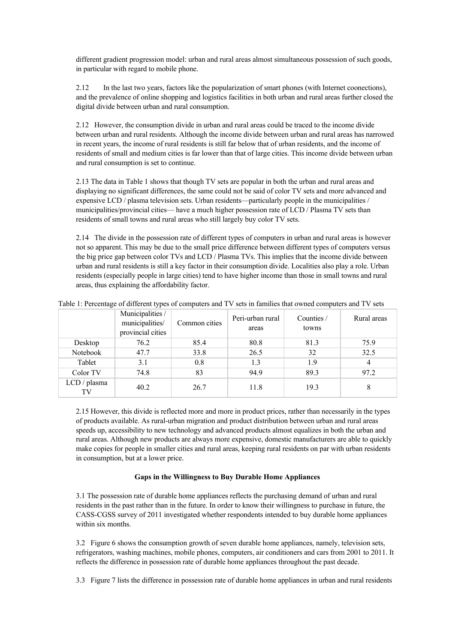different gradient progression model: urban and rural areas almost simultaneous possession of such goods, in particular with regard to mobile phone.

2.12 In the last two years, factors like the popularization of smart phones (with Internet coonections), and the prevalence of online shopping and logistics facilities in both urban and rural areas further closed the digital divide between urban and rural consumption.

2.12 However, the consumption divide in urban and rural areas could be traced to the income divide between urban and rural residents. Although the income divide between urban and rural areas has narrowed in recent years, the income of rural residents is still far below that of urban residents, and the income of residents of small and medium cities is far lower than that of large cities. This income divide between urban and rural consumption is set to continue.

2.13 The data in Table 1 shows that though TV sets are popular in both the urban and rural areas and displaying no significant differences, the same could not be said of color TV sets and more advanced and expensive LCD / plasma television sets. Urban residents—particularly people in the municipalities / municipalities/provincial cities— have a much higher possession rate of LCD / Plasma TV sets than residents of small towns and rural areas who still largely buy color TV sets.

2.14 The divide in the possession rate of different types of computers in urban and rural areas is however not so apparent. This may be due to the small price difference between different types of computers versus the big price gap between color TVs and LCD / Plasma TVs. This implies that the income divide between urban and rural residents is still a key factor in their consumption divide. Localities also play a role. Urban residents (especially people in large cities) tend to have higher income than those in small towns and rural areas, thus explaining the affordability factor.

|                    | Municipalities /<br>municipalities/<br>provincial cities | Common cities | Peri-urban rural<br>areas | Counties /<br>towns | Rural areas |
|--------------------|----------------------------------------------------------|---------------|---------------------------|---------------------|-------------|
| Desktop            | 76.2                                                     | 85.4          | 80.8                      | 81.3                | 75.9        |
| Notebook           | 47.7                                                     | 33.8          | 26.5                      | 32                  | 32.5        |
| Tablet             | 3.1                                                      | 0.8           | 1.3                       | 1.9                 | 4           |
| Color TV           | 74.8                                                     | 83            | 94.9                      | 89.3                | 97.2        |
| LCD / plasma<br>TV | 40.2                                                     | 26.7          | 11.8                      | 19.3                | 8           |

Table 1: Percentage of different types of computers and TV sets in families that owned computers and TV sets

2.15 However, this divide is reflected more and more in product prices, rather than necessarily in the types of products available. As rural-urban migration and product distribution between urban and rural areas speeds up, accessibility to new technology and advanced products almost equalizes in both the urban and rural areas. Although new products are always more expensive, domestic manufacturers are able to quickly make copies for people in smaller cities and rural areas, keeping rural residents on par with urban residents in consumption, but at a lower price.

## **Gaps in the Willingness to Buy Durable Home Appliances**

3.1 The possession rate of durable home appliances reflects the purchasing demand of urban and rural residents in the past rather than in the future. In order to know their willingness to purchase in future, the CASS-CGSS survey of 2011 investigated whether respondents intended to buy durable home appliances within six months.

3.2 Figure 6 shows the consumption growth of seven durable home appliances, namely, television sets, refrigerators, washing machines, mobile phones, computers, air conditioners and cars from 2001 to 2011. It reflects the difference in possession rate of durable home appliances throughout the past decade.

3.3 Figure 7 lists the difference in possession rate of durable home appliances in urban and rural residents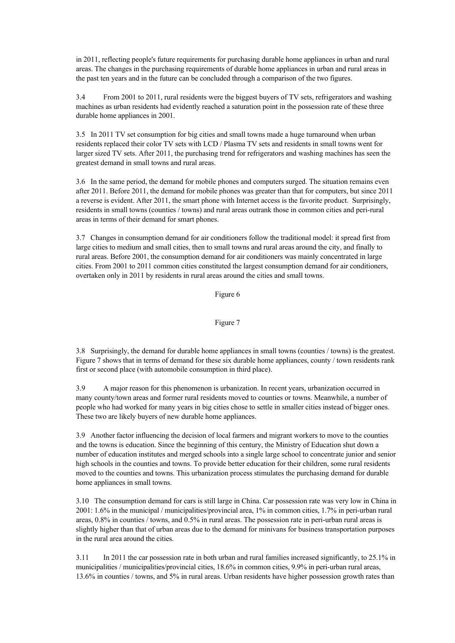in 2011, reflecting people's future requirements for purchasing durable home appliances in urban and rural areas. The changes in the purchasing requirements of durable home appliances in urban and rural areas in the past ten years and in the future can be concluded through a comparison of the two figures.

3.4 From 2001 to 2011, rural residents were the biggest buyers of TV sets, refrigerators and washing machines as urban residents had evidently reached a saturation point in the possession rate of these three durable home appliances in 2001.

3.5 In 2011 TV set consumption for big cities and small towns made a huge turnaround when urban residents replaced their color TV sets with LCD / Plasma TV sets and residents in small towns went for larger sized TV sets. After 2011, the purchasing trend for refrigerators and washing machines has seen the greatest demand in small towns and rural areas.

3.6 In the same period, the demand for mobile phones and computers surged. The situation remains even after 2011. Before 2011, the demand for mobile phones was greater than that for computers, but since 2011 a reverse is evident. After 2011, the smart phone with Internet access is the favorite product. Surprisingly, residents in small towns (counties / towns) and rural areas outrank those in common cities and peri-rural areas in terms of their demand for smart phones.

3.7 Changes in consumption demand for air conditioners follow the traditional model: it spread first from large cities to medium and small cities, then to small towns and rural areas around the city, and finally to rural areas. Before 2001, the consumption demand for air conditioners was mainly concentrated in large cities. From 2001 to 2011 common cities constituted the largest consumption demand for air conditioners, overtaken only in 2011 by residents in rural areas around the cities and small towns.

Figure 6

## Figure 7

3.8 Surprisingly, the demand for durable home appliances in small towns (counties / towns) is the greatest. Figure 7 shows that in terms of demand for these six durable home appliances, county / town residents rank first or second place (with automobile consumption in third place).

3.9 A major reason for this phenomenon is urbanization. In recent years, urbanization occurred in many county/town areas and former rural residents moved to counties or towns. Meanwhile, a number of people who had worked for many years in big cities chose to settle in smaller cities instead of bigger ones. These two are likely buyers of new durable home appliances.

3.9 Another factor influencing the decision of local farmers and migrant workers to move to the counties and the towns is education. Since the beginning of this century, the Ministry of Education shut down a number of education institutes and merged schools into a single large school to concentrate junior and senior high schools in the counties and towns. To provide better education for their children, some rural residents moved to the counties and towns. This urbanization process stimulates the purchasing demand for durable home appliances in small towns.

3.10 The consumption demand for cars is still large in China. Car possession rate was very low in China in 2001: 1.6% in the municipal / municipalities/provincial area, 1% in common cities, 1.7% in peri-urban rural areas, 0.8% in counties / towns, and 0.5% in rural areas. The possession rate in peri-urban rural areas is slightly higher than that of urban areas due to the demand for minivans for business transportation purposes in the rural area around the cities.

3.11 In 2011 the car possession rate in both urban and rural families increased significantly, to 25.1% in municipalities / municipalities/provincial cities, 18.6% in common cities, 9.9% in peri-urban rural areas, 13.6% in counties / towns, and 5% in rural areas. Urban residents have higher possession growth rates than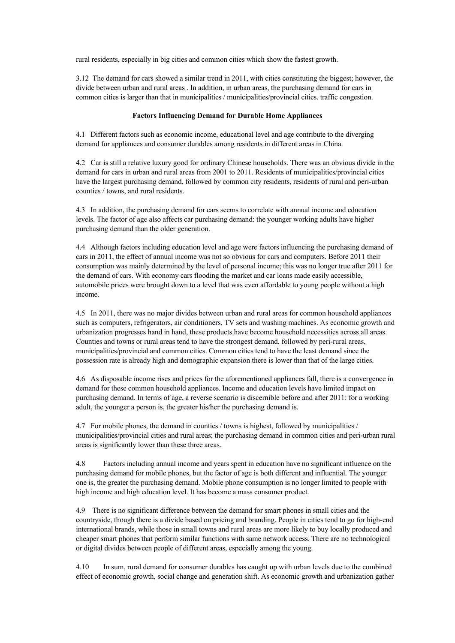rural residents, especially in big cities and common cities which show the fastest growth.

3.12 The demand for cars showed a similar trend in 2011, with cities constituting the biggest; however, the divide between urban and rural areas . In addition, in urban areas, the purchasing demand for cars in common cities is larger than that in municipalities / municipalities/provincial cities. traffic congestion.

### **Factors Influencing Demand for Durable Home Appliances**

4.1 Different factors such as economic income, educational level and age contribute to the diverging demand for appliances and consumer durables among residents in different areas in China.

4.2 Car is still a relative luxury good for ordinary Chinese households. There was an obvious divide in the demand for cars in urban and rural areas from 2001 to 2011. Residents of municipalities/provincial cities have the largest purchasing demand, followed by common city residents, residents of rural and peri-urban counties / towns, and rural residents.

4.3 In addition, the purchasing demand for cars seems to correlate with annual income and education levels. The factor of age also affects car purchasing demand: the younger working adults have higher purchasing demand than the older generation.

4.4 Although factors including education level and age were factors influencing the purchasing demand of cars in 2011, the effect of annual income was not so obvious for cars and computers. Before 2011 their consumption was mainly determined by the level of personal income; this was no longer true after 2011 for the demand of cars. With economy cars flooding the market and car loans made easily accessible, automobile prices were brought down to a level that was even affordable to young people without a high income.

4.5 In 2011, there was no major divides between urban and rural areas for common household appliances such as computers, refrigerators, air conditioners, TV sets and washing machines. As economic growth and urbanization progresses hand in hand, these products have become household necessities across all areas. Counties and towns or rural areas tend to have the strongest demand, followed by peri-rural areas, municipalities/provincial and common cities. Common cities tend to have the least demand since the possession rate is already high and demographic expansion there is lower than that of the large cities.

4.6 As disposable income rises and prices for the aforementioned appliances fall, there is a convergence in demand for these common household appliances. Income and education levels have limited impact on purchasing demand. In terms of age, a reverse scenario is discernible before and after 2011: for a working adult, the younger a person is, the greater his/her the purchasing demand is.

4.7 For mobile phones, the demand in counties / towns is highest, followed by municipalities / municipalities/provincial cities and rural areas; the purchasing demand in common cities and peri-urban rural areas is significantly lower than these three areas.

4.8 Factors including annual income and years spent in education have no significant influence on the purchasing demand for mobile phones, but the factor of age is both different and influential. The younger one is, the greater the purchasing demand. Mobile phone consumption is no longer limited to people with high income and high education level. It has become a mass consumer product.

4.9 There is no significant difference between the demand for smart phones in small cities and the countryside, though there is a divide based on pricing and branding. People in cities tend to go for high-end international brands, while those in small towns and rural areas are more likely to buy locally produced and cheaper smart phones that perform similar functions with same network access. There are no technological or digital divides between people of different areas, especially among the young.

4.10 In sum, rural demand for consumer durables has caught up with urban levels due to the combined effect of economic growth, social change and generation shift. As economic growth and urbanization gather